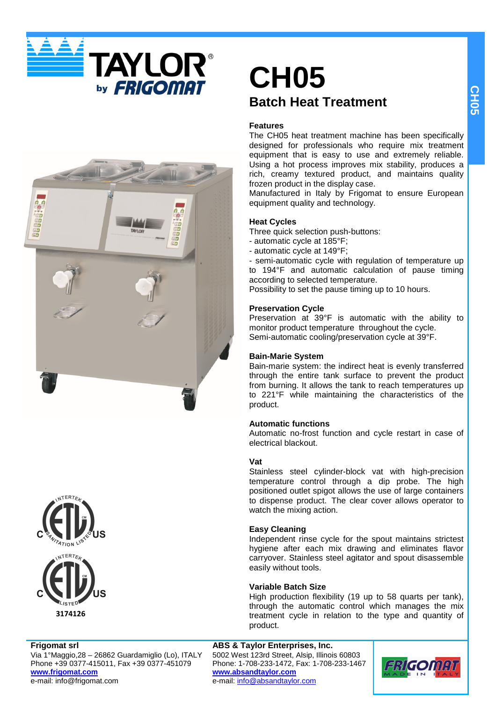





## **Frigomat srl**

Via 1°Maggio,28 – 26862 Guardamiglio (Lo), ITALY Phone +39 0377-415011, Fax +39 0377-451079 **www.frigomat.com** e-mail: info@frigomat.com

# **CH05 Batch Heat Treatment**

## **Features**

The CH05 heat treatment machine has been specifically designed for professionals who require mix treatment equipment that is easy to use and extremely reliable. Using a hot process improves mix stability, produces a rich, creamy textured product, and maintains quality frozen product in the display case.

Manufactured in Italy by Frigomat to ensure European equipment quality and technology.

# **Heat Cycles**

- Three quick selection push-buttons:
- automatic cycle at 185°F;
- automatic cycle at 149°F;

- semi-automatic cycle with regulation of temperature up to 194°F and automatic calculation of pause timing according to selected temperature.

Possibility to set the pause timing up to 10 hours.

## **Preservation Cycle**

Preservation at 39°F is automatic with the ability to monitor product temperature throughout the cycle. Semi-automatic cooling/preservation cycle at 39°F.

## **Bain-Marie System**

Bain-marie system: the indirect heat is evenly transferred through the entire tank surface to prevent the product from burning. It allows the tank to reach temperatures up to 221°F while maintaining the characteristics of the product.

# **Automatic functions**

Automatic no-frost function and cycle restart in case of electrical blackout.

## **Vat**

Stainless steel cylinder-block vat with high-precision temperature control through a dip probe. The high positioned outlet spigot allows the use of large containers to dispense product. The clear cover allows operator to watch the mixing action.

# **Easy Cleaning**

Independent rinse cycle for the spout maintains strictest hygiene after each mix drawing and eliminates flavor carryover. Stainless steel agitator and spout disassemble easily without tools.

## **Variable Batch Size**

High production flexibility (19 up to 58 quarts per tank), through the automatic control which manages the mix treatment cycle in relation to the type and quantity of product.

**ABS & Taylor Enterprises, Inc.** 5002 West 123rd Street, Alsip, Illinois 60803 Phone: 1-708-233-1472, Fax: 1-708-233-1467 **www.absandtaylor.com** e-mail: info@absandtaylor.com